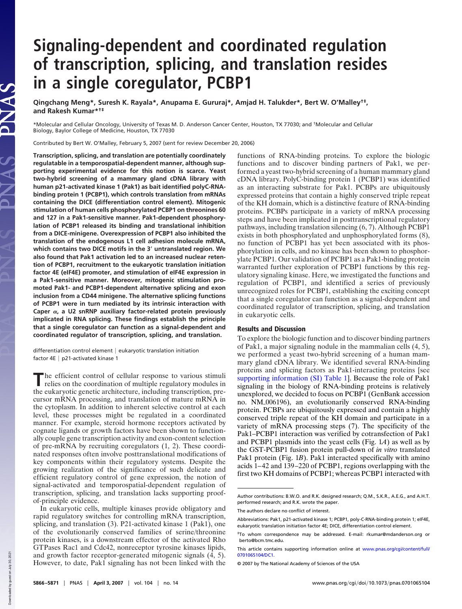## **Signaling-dependent and coordinated regulation of transcription, splicing, and translation resides in a single coregulator, PCBP1**

**Qingchang Meng\*, Suresh K. Rayala\*, Anupama E. Gururaj\*, Amjad H. Talukder\*, Bert W. O'Malley†‡ , and Rakesh Kumar\*†‡**

\*Molecular and Cellular Oncology, University of Texas M. D. Anderson Cancer Center, Houston, TX 77030; and †Molecular and Cellular Biology, Baylor College of Medicine, Houston, TX 77030

Contributed by Bert W. O'Malley, February 5, 2007 (sent for review December 20, 2006)

**Transcription, splicing, and translation are potentially coordinately regulatable in a temporospatial-dependent manner, although supporting experimental evidence for this notion is scarce. Yeast two-hybrid screening of a mammary gland cDNA library with human p21-activated kinase 1 (Pak1) as bait identified polyC-RNAbinding protein 1 (PCBP1), which controls translation from mRNAs containing the DICE (differentiation control element). Mitogenic stimulation of human cells phosphorylated PCBP1 on threonines 60 and 127 in a Pak1-sensitive manner. Pak1-dependent phosphorylation of PCBP1 released its binding and translational inhibition from a DICE-minigene. Overexpression of PCBP1 also inhibited the translation of the endogenous L1 cell adhesion molecule mRNA, which contains two DICE motifs in the 3 untranslated region. We also found that Pak1 activation led to an increased nuclear retention of PCBP1, recruitment to the eukaryotic translation initiation factor 4E (eIF4E) promoter, and stimulation of eIF4E expression in a Pak1-sensitive manner. Moreover, mitogenic stimulation promoted Pak1- and PCBP1-dependent alternative splicing and exon inclusion from a CD44 minigene. The alternative splicing functions of PCBP1 were in turn mediated by its intrinsic interaction with** Caper  $\alpha$ , a U2 snRNP auxiliary factor-related protein previously **implicated in RNA splicing. These findings establish the principle that a single coregulator can function as a signal-dependent and coordinated regulator of transcription, splicing, and translation.**

differentiation control element  $|$  eukaryotic translation initiation factor  $4E$  | p21-activated kinase 1

The efficient control of cellular response to various stimuli relies on the coordination of multiple regulatory modules in the eukaryotic genetic architecture, including transcription, prehe efficient control of cellular response to various stimuli relies on the coordination of multiple regulatory modules in cursor mRNA processing, and translation of mature mRNA in the cytoplasm. In addition to inherent selective control at each level, these processes might be regulated in a coordinated manner. For example, steroid hormone receptors activated by cognate ligands or growth factors have been shown to functionally couple gene transcription activity and exon-content selection of pre-mRNA by recruiting coregulators (1, 2). These coordinated responses often involve posttranslational modifications of key components within their regulatory systems. Despite the growing realization of the significance of such delicate and efficient regulatory control of gene expression, the notion of signal-activated and temporospatial-dependent regulation of transcription, splicing, and translation lacks supporting proofof-principle evidence.

In eukaryotic cells, multiple kinases provide obligatory and rapid regulatory switches for controlling mRNA transcription, splicing, and translation (3). P21-activated kinase 1 (Pak1), one of the evolutionarily conserved families of serine/threonine protein kinases, is a downstream effector of the activated Rho GTPases Rac1 and Cdc42, nonreceptor tyrosine kinases lipids, and growth factor receptor-generated mitogenic signals (4, 5). However, to date, Pak1 signaling has not been linked with the

functions of RNA-binding proteins. To explore the biologic functions and to discover binding partners of Pak1, we performed a yeast two-hybrid screening of a human mammary gland cDNA library. PolyC-binding protein 1 (PCBP1) was identified as an interacting substrate for Pak1. PCBPs are ubiquitously expressed proteins that contain a highly conserved triple repeat of the KH domain, which is a distinctive feature of RNA-binding proteins. PCBPs participate in a variety of mRNA processing steps and have been implicated in posttranscriptional regulatory pathways, including translation silencing (6, 7). Although PCBP1 exists in both phosphorylated and unphosphorylated forms (8), no function of PCBP1 has yet been associated with its phosphorylation in cells, and no kinase has been shown to phosphorylate PCBP1. Our validation of PCBP1 as a Pak1-binding protein warranted further exploration of PCBP1 functions by this regulatory signaling kinase. Here, we investigated the functions and regulation of PCBP1, and identified a series of previously unrecognized roles for PCBP1, establishing the exciting concept that a single coregulator can function as a signal-dependent and coordinated regulator of transcription, splicing, and translation in eukaryotic cells.

## Results and Discussion

To explore the biologic function and to discover binding partners of Pak1, a major signaling nodule in the mammalian cells (4, 5), we performed a yeast two-hybrid screening of a human mammary gland cDNA library. We identified several RNA-binding proteins and splicing factors as Pak1-interacting proteins [see supporting information (SI) Table 1]. Because the role of Pak1 signaling in the biology of RNA-binding proteins is relatively unexplored, we decided to focus on PCBP1 (GenBank accession no. NM-006196), an evolutionarily conserved RNA-binding protein. PCBPs are ubiquitously expressed and contain a highly conserved triple repeat of the KH domain and participate in a variety of mRNA processing steps (7). The specificity of the Pak1–PCBP1 interaction was verified by cotransfection of Pak1 and PCBP1 plasmids into the yeast cells (Fig. 1*A*) as well as by the GST-PCBP1 fusion protein pull-down of *in vitro* translated Pak1 protein (Fig. 1*B*). Pak1 interacted specifically with amino acids 1–42 and 139–220 of PCBP1, regions overlapping with the first two KH domains of PCBP1; whereas PCBP1 interacted with

Author contributions: B.W.O. and R.K. designed research; Q.M., S.K.R., A.E.G., and A.H.T. performed research; and R.K. wrote the paper.

The authors declare no conflict of interest.

Abbreviations: Pak1, p21-activated kinase 1; PCBP1, poly-C-RNA-binding protein 1; eIF4E, eukaryotic translation initiation factor 4E; DICE, differentiation control element.

<sup>‡</sup>To whom correspondence may be addressed. E-mail: rkumar@mdanderson.org or berto@bcm.tmc.edu.

This article contains supporting information online at www.pnas.org/cgi/content/full/ 0701065104/DC1.

<sup>© 2007</sup> by The National Academy of Sciences of the USA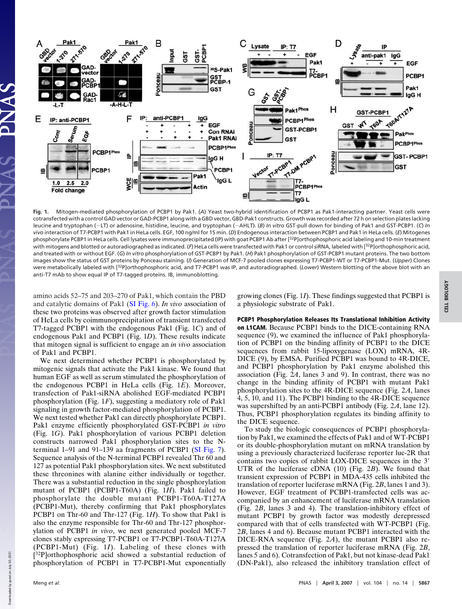

**Fig. 1.** Mitogen-mediated phosphorylation of PCBP1 by Pak1. (*A*) Yeast two-hybrid identification of PCBP1 as Pak1-interacting partner. Yeast cells were cotransfected with a control GAD vector or GAD-PCBP1 along with a GBD vector, GBD-Pak1 constructs. Growth was recorded after 72 h on selection plates lacking leucine and tryptophan (-LT) or adenosine, histidine, leucine, and tryptophan (-AHLT). (*B*) *In vitro* GST-pull down for binding of Pak1 and GST-PCBP1. (C) *In vivo* interaction of T7-PCBP1 with Pak1 in HeLa cells. EGF, 100 ng/ml for 15 min. (*D*) Endogenous interaction between PCBP1 and Pak1 in HeLa cells. (*E*) Mitogenes phosphorylate PCBP1 in HeLa cells. Cell lysates were immunoprecipitated (IP) with goat PCBP1 Ab after [32P]orthophosphoric acid labeling and 10-min treatment with mitogens and blotted or autoradiographed as indicated. (F) HeLa cells were transfected with Pak1 or control siRNA, labeled with [<sup>32</sup>P]orthophosphoric acid, and treated with or without EGF. (*G*) *In vitro* phosphorylation of GST-PCBP1 by Pak1. (*H*) Pak1 phosphorylation of GST-PCBP1 mutant proteins. The two bottom images show the status of GST proteins by Ponceau staining. (*I*) Generation of MCF-7 pooled clones expressing T7-PCBP1-WT or T7-PCBP1-Mut. (*Upper*) Clones were metabolically labeled with [32P]orthophosphoric acid, and T7-PCBP1 was IP, and autoradiographed. (*Lower*) Western blotting of the above blot with an anti-T7 mAb to show equal IP of T7-tagged proteins. IB, immunoblotting.

amino acids 52–75 and 203–270 of Pak1, which contain the PBD and catalytic domains of Pak1 (SI Fig. 6). *In vivo* association of these two proteins was observed after growth factor stimulation of HeLa cells by coimmunoprecipitation of transient transfected T7-tagged PCBP1 with the endogenous Pak1 (Fig. 1*C*) and of endogenous Pak1 and PCBP1 (Fig. 1*D*). These results indicate that mitogen signal is sufficient to engage an *in vivo* association of Pak1 and PCBP1.

We next determined whether PCBP1 is phosphorylated by mitogenic signals that activate the Pak1 kinase. We found that human EGF as well as serum stimulated the phosphorylation of the endogenous PCBP1 in HeLa cells (Fig. 1*E*). Moreover, transfection of Pak1-siRNA abolished EGF-mediated PCBP1 phosphorylation (Fig. 1*F*), suggesting a mediatory role of Pak1 signaling in growth factor-mediated phosphorylation of PCBP1. We next tested whether Pak1 can directly phosphorylate PCBP1. Pak1 enzyme efficiently phosphorylated GST-PCBP1 *in vitro* (Fig. 1*G*). Pak1 phosphorylation of various PCBP1 deletion constructs narrowed Pak1 phosphorylation sites to the Nterminal 1–91 and 91–139 aa fragments of PCBP1 (SI Fig. 7). Sequence analysis of the N-terminal PCBP1 revealed Thr 60 and 127 as potential Pak1 phosphorylation sites. We next substituted these threonines with alanine either individually or together. There was a substantial reduction in the single phosphorylation mutant of PCBP1 (PCBP1-T60A) (Fig. 1*H*). Pak1 failed to phosphorylate the double mutant PCBP1-T60A-T127A (PCBP1-Mut), thereby confirming that Pak1 phosphorylates PCBP1 on Thr-60 and Thr-127 (Fig. 1*H*). To show that Pak1 is also the enzyme responsible for Thr-60 and Thr-127 phosphorylation of PCBP1 *in vivo*, we next generated pooled MCF-7 clones stably expressing T7-PCBP1 or T7-PCBP1-T60A-T127A (PCBP1-Mut) (Fig. 1*I*). Labeling of these clones with [<sup>32</sup>P]orthophosphoric acid showed a substantial reduction of phosphorylation of PCBP1 in T7-PCBP1-Mut exponentially growing clones (Fig. 1*I*). These findings suggested that PCBP1 is a physiologic substrate of Pak1.

## PCBP1 Phosphorylation Releases Its Translational Inhibition Activity

on L1CAM. Because PCBP1 binds to the DICE-containing RNA sequence (9), we examined the influence of Pak1 phosphorylation of PCBP1 on the binding affinity of PCBP1 to the DICE sequences from rabbit 15-lipoxygenase (LOX) mRNA, 4R-DICE (9), by EMSA. Purified PCBP1 was bound to 4R-DICE, and PCBP1 phosphorylation by Pak1 enzyme abolished this association (Fig. 2*A*, lanes 3 and 9). In contrast, there was no change in the binding affinity of PCBP1 with mutant Pak1 phosphorylation sites to the 4R-DICE sequence (Fig. 2*A*, lanes 4, 5, 10, and 11). The PCBP1 binding to the 4R-DICE sequence was supershifted by an anti-PCBP1 antibody (Fig. 2*A*, lane 12). Thus, PCBP1 phosphorylation regulates its binding affinity to the DICE sequence.

To study the biologic consequences of PCBP1 phosphorylation by Pak1, we examined the effects of Pak1 and of WT-PCBP1 or its double-phosphorylation mutant on mRNA translation by using a previously characterized luciferase reporter luc-2R that contains two copies of rabbit LOX-DICE sequences in the 3 UTR of the luciferase cDNA (10) (Fig. 2*B*). We found that transient expression of PCBP1 in MDA-435 cells inhibited the translation of reporter luciferase mRNA (Fig. 2*B*, lanes 1 and 3). However, EGF treatment of PCBP1-transfected cells was accompanied by an enhancement of luciferase mRNA translation (Fig. 2*B*, lanes 3 and 4). The translation-inhibitory effect of mutant PCBP1 by growth factor was modestly derepressed compared with that of cells transfected with WT-PCBP1 (Fig. 2*B*, lanes 4 and 6). Because mutant PCBP1 interacted with the DICE-RNA sequence (Fig. 2*A*), the mutant PCBP1 also repressed the translation of reporter luciferase mRNA (Fig. 2*B*, lanes 5 and 6). Cotransfection of Pak1, but not kinase-dead Pak1 (DN-Pak1), also released the inhibitory translation effect of

Down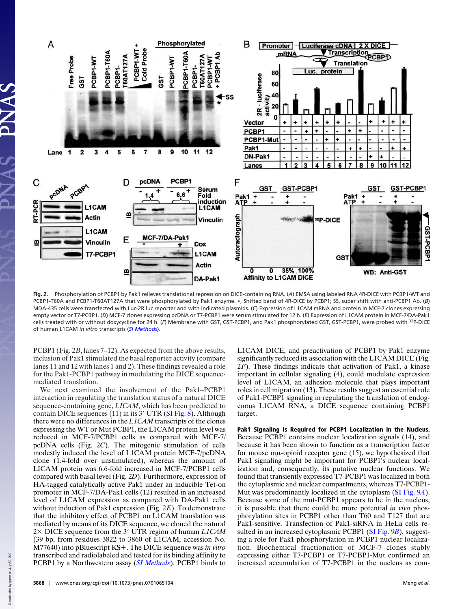

**Fig. 2.** Phosphorylation of PCBP1 by Pak1 relieves translational repression on DICE-containing RNA. (*A*) EMSA using labeled RNA 4R-DICE with PCBP1-WT and PCBP1-T60A and PCBP1-T60AT127A that were phosphorylated by Pak1 enzyme. **\***, Shifted band of 4R-DICE by PCBP1; SS, super shift with anti-PCBP1 Ab. (*B*) MDA-435 cells were transfected with Luc-2R luc reporter and with indicated plasmids. (*C*) Expression of L1CAM mRNA and protein in MCF-7 clones expressing empty vector or T7-PCBP1. (*D*) MCF-7 clones expressing pcDNA or T7-PCBP1 were serum stimulated for 12 h. (*E*) Expression of L1CAM protein in MCF-7/DA-Pak1 cells treated with or without doxycycline for 24 h. (*F*) Membrane with GST, GST-PCBP1, and Pak1 phosphorylated GST, GST-PCBP1, were probed with <sup>32</sup>P-DICE of human L1CAM *in vitro* transcripts (*SI Methods*).

PCBP1 (Fig. 2*B*, lanes 7–12). As expected from the above results, inclusion of Pak1 stimulated the basal reporter activity (compare lanes 11 and 12 with lanes 1 and 2). These findings revealed a role for the Pak1-PCBP1 pathway in modulating the DICE sequencemediated translation.

We next examined the involvement of the Pak1–PCBP1 interaction in regulating the translation status of a natural DICE sequence-containing gene, *LICAM*, which has been predicted to contain DICE sequences  $(11)$  in its 3' UTR (SI Fig. 8). Although there were no differences in the *L1CAM* transcripts of the clones expressing the WT or Mut PCBP1, the L1CAM protein level was reduced in MCF-7/PCBP1 cells as compared with MCF-7/ pcDNA cells (Fig. 2*C*). The mitogenic stimulation of cells modestly induced the level of L1CAM protein MCF-7/pcDNA clone (1.4-fold over unstimulated), whereas the amount of LICAM protein was 6.6-fold increased in MCF-7/PCBP1 cells compared with basal level (Fig. 2*D*). Furthermore, expression of HA-tagged catalytically active Pak1 under an inducible Tet-on promoter in MCF-7/DA-Pak1 cells (12) resulted in an increased level of L1CAM expression as compared with DA-Pak1 cells without induction of Pak1 expression (Fig. 2*E*). To demonstrate that the inhibitory effect of PCBP1 on L1CAM translation was mediated by means of its DICE sequence, we cloned the natural 2× DICE sequence from the 3' UTR region of human *L1CAM* (39 bp, from residues 3822 to 3860 of L1CAM, accession No. M77640) into pBluescript KS+. The DICE sequence was *in vitro* transcribed and radiolabeled and tested for its binding affinity to PCBP1 by a Northwestern assay (*SI Methods*). PCBP1 binds to

L1CAM DICE, and preactivation of PCBP1 by Pak1 enzyme significantly reduced its association with the L1CAM DICE (Fig. 2*F*). These findings indicate that activation of Pak1, a kinase important in cellular signaling (4), could modulate expression level of L1CAM, an adhesion molecule that plays important roles in cell migration (13). These results suggest an essential role of Pak1-PCBP1 signaling in regulating the translation of endogenous L1CAM RNA, a DICE sequence containing PCBP1 target.

Pak1 Signaling Is Required for PCBP1 Localization in the Nucleus. Because PCBP1 contains nuclear localization signals (14), and because it has been shown to function as a transcription factor for mouse  $m\mu$ -opioid receptor gene (15), we hypothesized that Pak1 signaling might be important for PCBP1's nuclear localization and, consequently, its putative nuclear functions. We found that transiently expressed T7-PCBP1 was localized in both the cytoplasmic and nuclear compartments, whereas T7-PCBP1- Mut was predominantly localized in the cytoplasm (SI Fig. 9*A*). Because some of the mut-PCBP1 appears to be in the nucleus, it is possible that there could be more potential *in vivo* phosphorylation sites in PCBP1 other than T60 and T127 that are Pak1-sensitive. Transfection of Pak1-siRNA in HeLa cells resulted in an increased cytoplasmic PCBP1 (SI Fig. 9*B*), suggesting a role for Pak1 phosphorylation in PCBP1 nuclear localization. Biochemical fractionation of MCF-7 clones stably expressing either T7-PCBP1 or T7-PCBP1-Mut confirmed an increased accumulation of T7-PCBP1 in the nucleus as com-

Down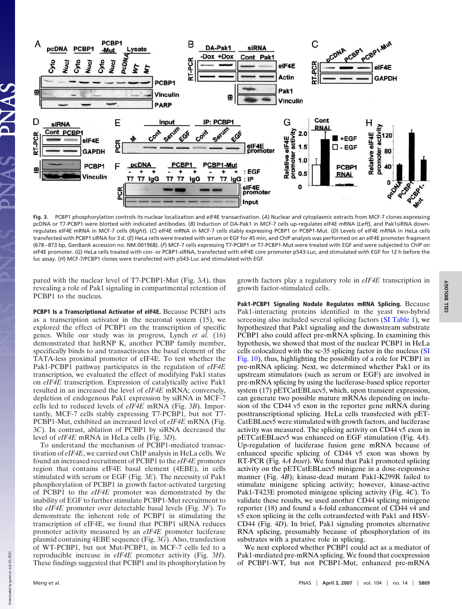

**Fig. 3.** PCBP1 phosphorylation controls its nuclear localization and eIF4E transactivation. (*A*) Nuclear and cytoplasmic extracts from MCF-7 clones expressing pcDNA or T7-PCBP1 were blotted with indicated antibodies. (*B*) Induction of DA-Pak1 in MCF-7 cells up-regulates eIF4E mRNA (*Left*), and Pak1siRNA downregulates eIF4E mRNA in MCF-7 cells (*Right*). (*C*) eIF4E mRNA in MCF-7 cells stably expressing PCBP1 or PCBP1-Mut. (*D*) Levels of eIF4E mRNA in HeLa cells transfected with PCBP1 siRNA for 3 d. (*E*) HeLa cells were treated with serum or EGF for 45 min, and ChIP analysis was performed on an eIF4E promoter fragment (678 – 873 bp, GenBank accession no. NM-001968). (*F*) MCF-7 cells expressing T7-PCBP1 or T7-PCBP1-Mut were treated with EGF and were subjected to ChIP on eIF4E promoter. (*G*) HeLa cells treated with con- or PCBP1-siRNA, transfected with eIF4E core promoter p543-Luc, and stimulated with EGF for 12 h before the luc assay. (*H*) MCF-7/PCBP1 clones were transfected with p543-Luc and stimulated with EGF.

pared with the nuclear level of T7-PCBP1-Mut (Fig. 3*A*), thus revealing a role of Pak1 signaling in compartmental retention of PCBP1 to the nucleus.

PCBP1 Is a Transcriptional Activator of eIF4E. Because PCBP1 acts as a transcription activator in the neuronal system (15), we explored the effect of PCBP1 on the transcription of specific genes. While our study was in progress, Lynch *et al.* (16) demonstrated that hnRNP K, another PCBP family member, specifically binds to and transactivates the basal element of the TATA-less proximal promoter of eIF4E. To test whether the Pak1-PCBP1 pathway participates in the regulation of *eIF4E* transcription, we evaluated the effect of modifying Pak1 status on *eIF4E* transcription. Expression of catalytically active Pak1 resulted in an increased the level of *eIF4E* mRNA; conversely, depletion of endogenous Pak1 expression by siRNA in MCF-7 cells led to reduced levels of *eIF4E* mRNA (Fig. 3*B*). Importantly, MCF-7 cells stably expressing T7-PCBP1, but not T7- PCBP1-Mut, exhibited an increased level of *eIF4E* mRNA (Fig. 3*C*). In contrast, ablation of PCBP1 by siRNA decreased the level of *eIF4E* mRNA in HeLa cells (Fig. 3*D*).

To understand the mechanism of PCBP1-mediated transactivation of *eIF4E*, we carried out ChIP analysis in HeLa cells. We found an increased recruitment of PCBP1 to the *eIF4E* promoter region that contains eIF4E basal element (4EBE), in cells stimulated with serum or EGF (Fig. 3*E*). The necessity of Pak1 phosphorylation of PCBP1 in growth factor-activated targeting of PCBP1 to the *eIF4E* promoter was demonstrated by the inability of EGF to further stimulate PCBP1-Mut recruitment to the *eIF4E* promoter over detectable basal levels (Fig. 3*F*). To demonstrate the inherent role of PCBP1 in stimulating the transcription of eIF4E, we found that PCBP1 siRNA reduces promoter activity measured by an *eIF4E* promoter luciferase plasmid containing 4EBE sequence (Fig. 3*G*). Also, transfection of WT-PCBP1, but not Mut-PCBP1, in MCF-7 cells led to a reproducible increase in *eIF4E* promoter activity (Fig. 3*H*). These findings suggested that PCBP1 and its phosphorylation by growth factors play a regulatory role in *eIF4E* transcription in growth factor-stimulated cells.

Pak1-PCBP1 Signaling Nodule Regulates mRNA Splicing. Because Pak1-interacting proteins identified in the yeast two-hybrid screening also included several splicing factors (SI Table 1), we hypothesized that Pak1 signaling and the downstream substrate PCBP1 also could affect pre-mRNA splicing. In examining this hypothesis, we showed that most of the nuclear PCBP1 in HeLa cells colocalized with the sc-35 splicing factor in the nucleus (SI Fig. 10), thus, highlighting the possibility of a role for PCBP1 in pre-mRNA splicing. Next, we determined whether Pak1 or its upstream stimulators (such as serum or EGF) are involved in pre-mRNA splicing by using the luciferase-based splice reporter system (17) pETCatEBLucv5, which, upon transient expression, can generate two possible mature mRNAs depending on inclusion of the CD44 v5 exon in the reporter gene mRNA during posttranscriptional splicing. HeLa cells transfected with pET-CatEBLucv5 were stimulated with growth factors, and luciferase activity was measured. The splicing activity on CD44 v5 exon in pETCatEBLucv5 was enhanced on EGF stimulation (Fig. 4*A*). Up-regulation of luciferase fusion gene mRNA because of enhanced specific splicing of CD44 v5 exon was shown by RT-PCR (Fig. 4*A Inset*). We found that Pak1 promoted splicing activity on the pETCatEBLucv5 minigene in a dose-responsive manner (Fig. 4*B*); kinase-dead mutant Pak1-K299R failed to stimulate minigene splicing activity; however, kinase-active Pak1-T423E promoted minigene splicing activity (Fig. 4*C*). To validate these results, we used another CD44 splicing minigene reporter (18) and found a 4-fold enhancement of CD44 v4 and v5 exon splicing in the cells cotransfected with Pak1 and HSV-CD44 (Fig. 4*D*). In brief, Pak1 signaling promotes alternative RNA splicing, presumably because of phosphorylation of its substrates with a putative role in splicing.

We next explored whether PCBP1 could act as a mediator of Pak1-mediated pre-mRNA splicing. We found that coexpression of PCBP1-WT, but not PCBP1-Mut, enhanced pre-mRNA

Down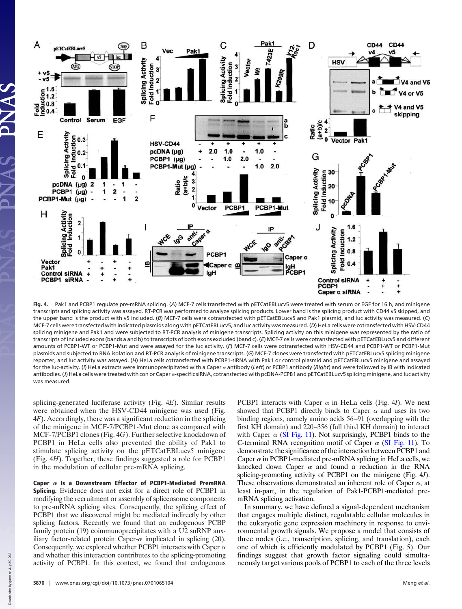

**Fig. 4.** Pak1 and PCBP1 regulate pre-mRNA splicing. (*A*) MCF-7 cells transfected with pETCatEBLucv5 were treated with serum or EGF for 16 h, and minigene transcripts and splicing activity was assayed. RT-PCR was performed to analyze splicing products. Lower band is the splicing product with CD44 v5 skipped, and the upper band is the product with v5 included. (*B*) MCF-7 cells were cotransfected with pETCatEBLucv5 and Pak1 plasmid, and luc activity was measured. (*C*) MCF-7 cells were transfected with indicated plasmids along with pETCatEBLucv5, and luc activity was measured. (*D*) HeLa cells were cotransfected with HSV-CD44 splicing minigene and Pak1 and were subjected to RT-PCR analysis of minigene transcripts. Splicing activity on this minigene was represented by the ratio of transcripts of included exons (bands a and b) to transcripts of both exons excluded (band c). (*E*) MCF-7 cells were cotransfected with pETCatEBLucv5 and different amounts of PCBP1-WT or PCBP1-Mut and were assayed for the luc activity. (*F*) MCF-7 cells were cotransfected with HSV-CD44 and PCBP1-WT or PCBP1-Mut plasmids and subjected to RNA isolation and RT-PCR analysis of minigene transcripts. (*G*) MCF-7 clones were transfected with pETCatEBLucv5 splicing minigene reporter, and luc activity was assayed. (*H*) HeLa cells cotransfected with PCBP1-siRNA with Pak1 or control plasmid and pETCatEBLucv5 minigene and assayed for the luc-activity. (/) HeLa extracts were immunoprecipitated with a Caper  $\alpha$  antibody (*Left*) or PCBP1 antibody (*Right*) and were followed by IB with indicated antibodies. (*J*) HeLa cells were treated with con or Caper  $\alpha$ -specific siRNA, cotransfected with pcDNA-PCPB1 and pETCatEBLucv5 splicing minigene, and luc activity was measured.

splicing-generated luciferase activity (Fig. 4*E*). Similar results were obtained when the HSV-CD44 minigene was used (Fig. 4*F*). Accordingly, there was a significant reduction in the splicing of the minigene in MCF-7/PCBP1-Mut clone as compared with MCF-7/PCBP1 clones (Fig. 4*G*). Further selective knockdown of PCBP1 in HeLa cells also prevented the ability of Pak1 to stimulate splicing activity on the pETCatEBLucv5 minigene (Fig. 4*H*). Together, these findings suggested a role for PCBP1 in the modulation of cellular pre-mRNA splicing.

Caper  $\alpha$  Is a Downstream Effector of PCBP1-Mediated PremRNA Splicing. Evidence does not exist for a direct role of PCBP1 in modifying the recruitment or assembly of spliceosome components to pre-mRNA splicing sites. Consequently, the splicing effect of PCBP1 that we discovered might be mediated indirectly by other splicing factors. Recently we found that an endogenous PCBP family protein (19) coimmunoprecipitates with a U2 snRNP auxiliary factor-related protein Caper- $\alpha$  implicated in splicing (20). Consequently, we explored whether PCBP1 interacts with Caper  $\alpha$ and whether this interaction contributes to the splicing-promoting activity of PCBP1. In this context, we found that endogenous

PCBP1 interacts with Caper  $\alpha$  in HeLa cells (Fig. 4*I*). We next showed that PCBP1 directly binds to Caper  $\alpha$  and uses its two binding regions, namely amino acids 56–91 (overlapping with the first KH domain) and 220–356 (full third KH domain) to interact with Caper  $\alpha$  (SI Fig. 11). Not surprisingly, PCBP1 binds to the C-terminal RNA recognition motif of Caper  $\alpha$  (SI Fig. 11). To demonstrate the significance of the interaction between PCBP1 and Caper  $\alpha$  in PCBP1-mediated pre-mRNA splicing in HeLa cells, we knocked down Caper  $\alpha$  and found a reduction in the RNA splicing-promoting activity of PCBP1 on the minigene (Fig. 4*J*). These observations demonstrated an inherent role of Caper  $\alpha$ , at least in-part, in the regulation of Pak1-PCBP1-mediated premRNA splicing activation.

In summary, we have defined a signal-dependent mechanism that engages multiple distinct, regulatable cellular molecules in the eukaryotic gene expression machinery in response to environmental growth signals. We propose a model that consists of three nodes (i.e., transcription, splicing, and translation), each one of which is efficiently modulated by PCBP1 (Fig. 5). Our findings suggest that growth factor signaling could simultaneously target various pools of PCBP1 to each of the three levels